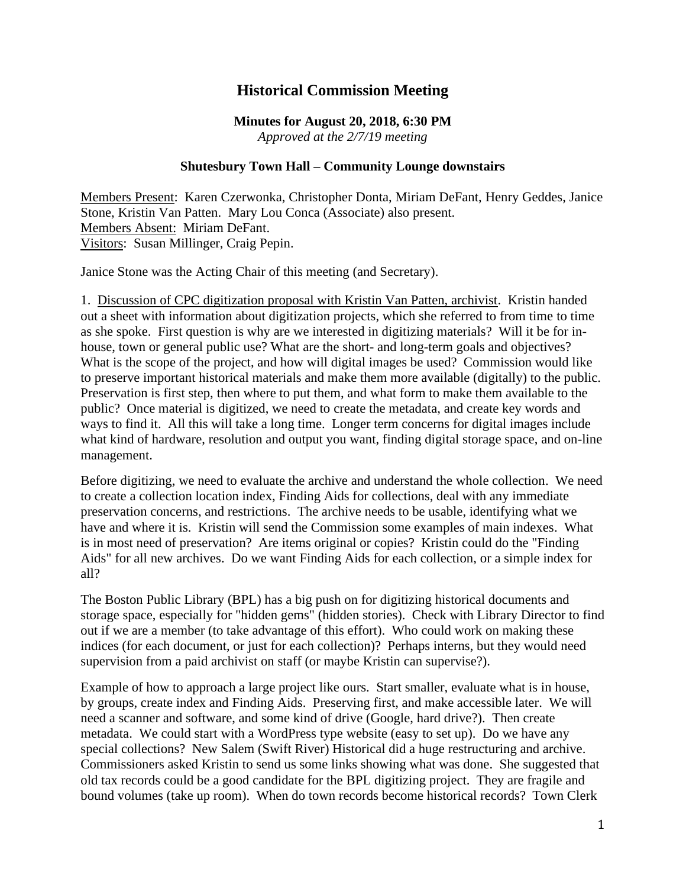## **Historical Commission Meeting**

## **Minutes for August 20, 2018, 6:30 PM** *Approved at the 2/7/19 meeting*

## **Shutesbury Town Hall – Community Lounge downstairs**

Members Present: Karen Czerwonka, Christopher Donta, Miriam DeFant, Henry Geddes, Janice Stone, Kristin Van Patten. Mary Lou Conca (Associate) also present. Members Absent: Miriam DeFant. Visitors: Susan Millinger, Craig Pepin.

Janice Stone was the Acting Chair of this meeting (and Secretary).

1. Discussion of CPC digitization proposal with Kristin Van Patten, archivist. Kristin handed out a sheet with information about digitization projects, which she referred to from time to time as she spoke. First question is why are we interested in digitizing materials? Will it be for inhouse, town or general public use? What are the short- and long-term goals and objectives? What is the scope of the project, and how will digital images be used? Commission would like to preserve important historical materials and make them more available (digitally) to the public. Preservation is first step, then where to put them, and what form to make them available to the public? Once material is digitized, we need to create the metadata, and create key words and ways to find it. All this will take a long time. Longer term concerns for digital images include what kind of hardware, resolution and output you want, finding digital storage space, and on-line management.

Before digitizing, we need to evaluate the archive and understand the whole collection. We need to create a collection location index, Finding Aids for collections, deal with any immediate preservation concerns, and restrictions. The archive needs to be usable, identifying what we have and where it is. Kristin will send the Commission some examples of main indexes. What is in most need of preservation? Are items original or copies? Kristin could do the "Finding Aids" for all new archives. Do we want Finding Aids for each collection, or a simple index for all?

The Boston Public Library (BPL) has a big push on for digitizing historical documents and storage space, especially for "hidden gems" (hidden stories). Check with Library Director to find out if we are a member (to take advantage of this effort). Who could work on making these indices (for each document, or just for each collection)? Perhaps interns, but they would need supervision from a paid archivist on staff (or maybe Kristin can supervise?).

Example of how to approach a large project like ours. Start smaller, evaluate what is in house, by groups, create index and Finding Aids. Preserving first, and make accessible later. We will need a scanner and software, and some kind of drive (Google, hard drive?). Then create metadata. We could start with a WordPress type website (easy to set up). Do we have any special collections? New Salem (Swift River) Historical did a huge restructuring and archive. Commissioners asked Kristin to send us some links showing what was done. She suggested that old tax records could be a good candidate for the BPL digitizing project. They are fragile and bound volumes (take up room). When do town records become historical records? Town Clerk